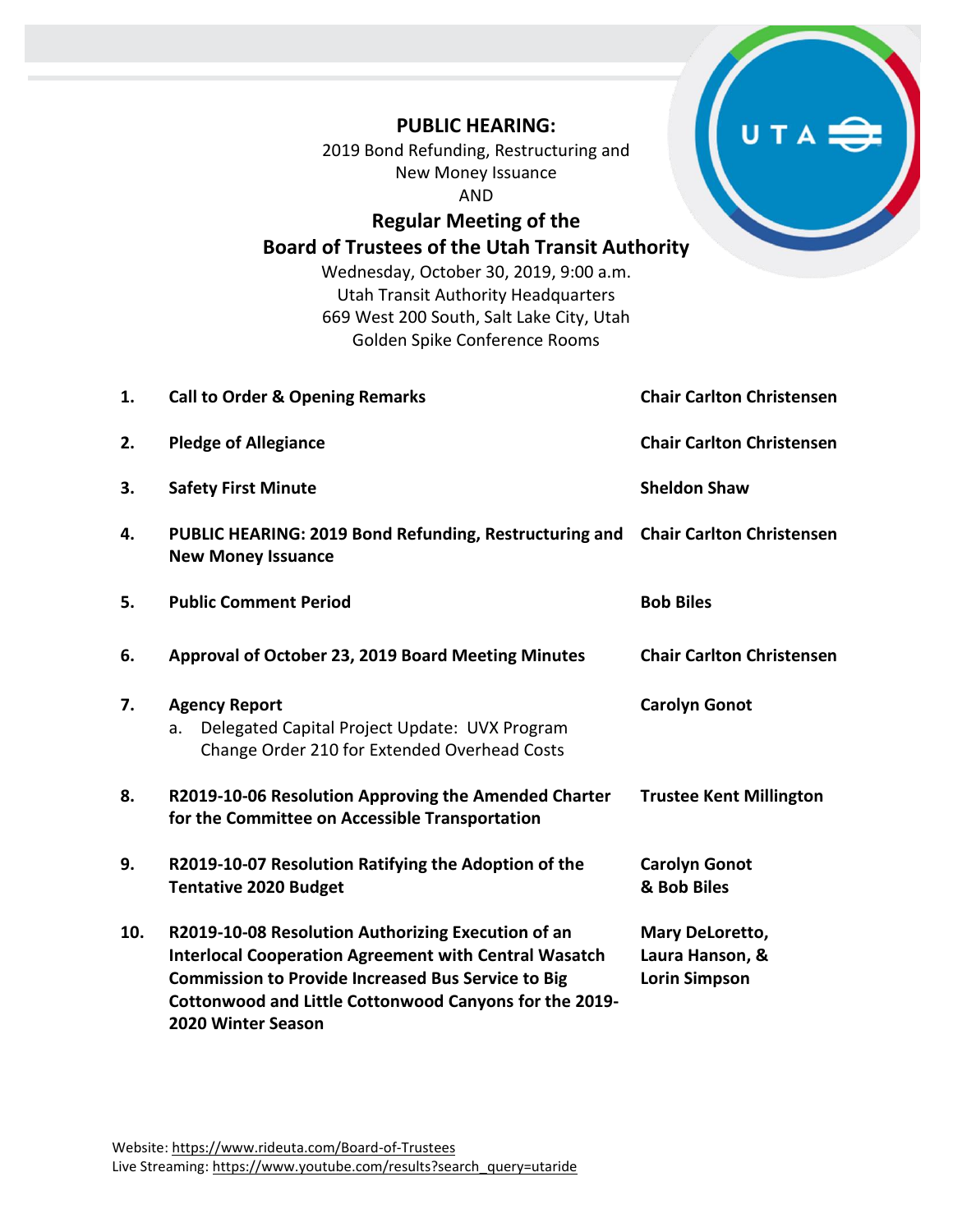## **PUBLIC HEARING:** 2019 Bond Refunding, Restructuring and New Money Issuance AND **Regular Meeting of the Board of Trustees of the Utah Transit Authority** Wednesday, October 30, 2019, 9:00 a.m.

Utah Transit Authority Headquarters 669 West 200 South, Salt Lake City, Utah Golden Spike Conference Rooms

| 1.  | <b>Call to Order &amp; Opening Remarks</b>                                                                                                                                                                                                                             | <b>Chair Carlton Christensen</b>                           |
|-----|------------------------------------------------------------------------------------------------------------------------------------------------------------------------------------------------------------------------------------------------------------------------|------------------------------------------------------------|
| 2.  | <b>Pledge of Allegiance</b>                                                                                                                                                                                                                                            | <b>Chair Carlton Christensen</b>                           |
| 3.  | <b>Safety First Minute</b>                                                                                                                                                                                                                                             | <b>Sheldon Shaw</b>                                        |
| 4.  | PUBLIC HEARING: 2019 Bond Refunding, Restructuring and<br><b>New Money Issuance</b>                                                                                                                                                                                    | <b>Chair Carlton Christensen</b>                           |
| 5.  | <b>Public Comment Period</b>                                                                                                                                                                                                                                           | <b>Bob Biles</b>                                           |
| 6.  | Approval of October 23, 2019 Board Meeting Minutes                                                                                                                                                                                                                     | <b>Chair Carlton Christensen</b>                           |
| 7.  | <b>Agency Report</b><br>Delegated Capital Project Update: UVX Program<br>a.<br>Change Order 210 for Extended Overhead Costs                                                                                                                                            | <b>Carolyn Gonot</b>                                       |
| 8.  | R2019-10-06 Resolution Approving the Amended Charter<br>for the Committee on Accessible Transportation                                                                                                                                                                 | <b>Trustee Kent Millington</b>                             |
| 9.  | R2019-10-07 Resolution Ratifying the Adoption of the<br><b>Tentative 2020 Budget</b>                                                                                                                                                                                   | <b>Carolyn Gonot</b><br>& Bob Biles                        |
| 10. | R2019-10-08 Resolution Authorizing Execution of an<br><b>Interlocal Cooperation Agreement with Central Wasatch</b><br><b>Commission to Provide Increased Bus Service to Big</b><br>Cottonwood and Little Cottonwood Canyons for the 2019-<br><b>2020 Winter Season</b> | Mary DeLoretto,<br>Laura Hanson, &<br><b>Lorin Simpson</b> |